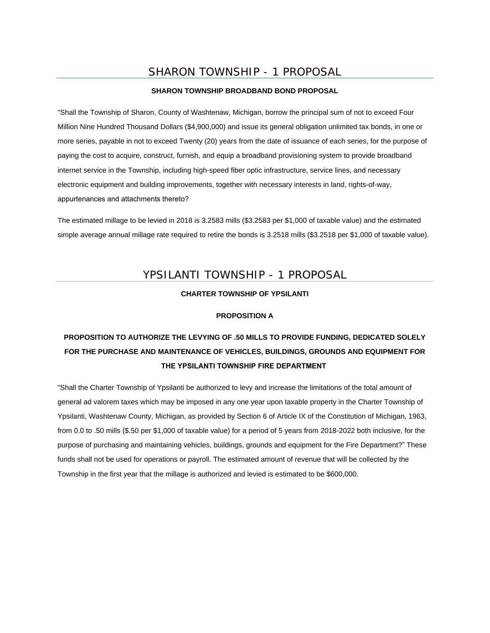## SHARON TOWNSHIP - 1 PROPOSAL

#### **SHARON TOWNSHIP BROADBAND BOND PROPOSAL**

"Shall the Township of Sharon, County of Washtenaw, Michigan, borrow the principal sum of not to exceed Four Million Nine Hundred Thousand Dollars (\$4,900,000) and issue its general obligation unlimited tax bonds, in one or more series, payable in not to exceed Twenty (20) years from the date of issuance of each series, for the purpose of paying the cost to acquire, construct, furnish, and equip a broadband provisioning system to provide broadband internet service in the Township, including high-speed fiber optic infrastructure, service lines, and necessary electronic equipment and building improvements, together with necessary interests in land, rights-of-way, appurtenances and attachments thereto?

The estimated millage to be levied in 2018 is 3.2583 mills (\$3.2583 per \$1,000 of taxable value) and the estimated simple average annual millage rate required to retire the bonds is 3.2518 mills (\$3.2518 per \$1,000 of taxable value).

## YPSILANTI TOWNSHIP - 1 PROPOSAL

#### **CHARTER TOWNSHIP OF YPSILANTI**

#### **PROPOSITION A**

# **PROPOSITION TO AUTHORIZE THE LEVYING OF .50 MILLS TO PROVIDE FUNDING, DEDICATED SOLELY FOR THE PURCHASE AND MAINTENANCE OF VEHICLES, BUILDINGS, GROUNDS AND EQUIPMENT FOR THE YPSILANTI TOWNSHIP FIRE DEPARTMENT**

"Shall the Charter Township of Ypsilanti be authorized to levy and increase the limitations of the total amount of general ad valorem taxes which may be imposed in any one year upon taxable property in the Charter Township of Ypsilanti, Washtenaw County, Michigan, as provided by Section 6 of Article IX of the Constitution of Michigan, 1963, from 0.0 to .50 mills (\$.50 per \$1,000 of taxable value) for a period of 5 years from 2018-2022 both inclusive, for the purpose of purchasing and maintaining vehicles, buildings, grounds and equipment for the Fire Department?" These funds shall not be used for operations or payroll. The estimated amount of revenue that will be collected by the Township in the first year that the millage is authorized and levied is estimated to be \$600,000.